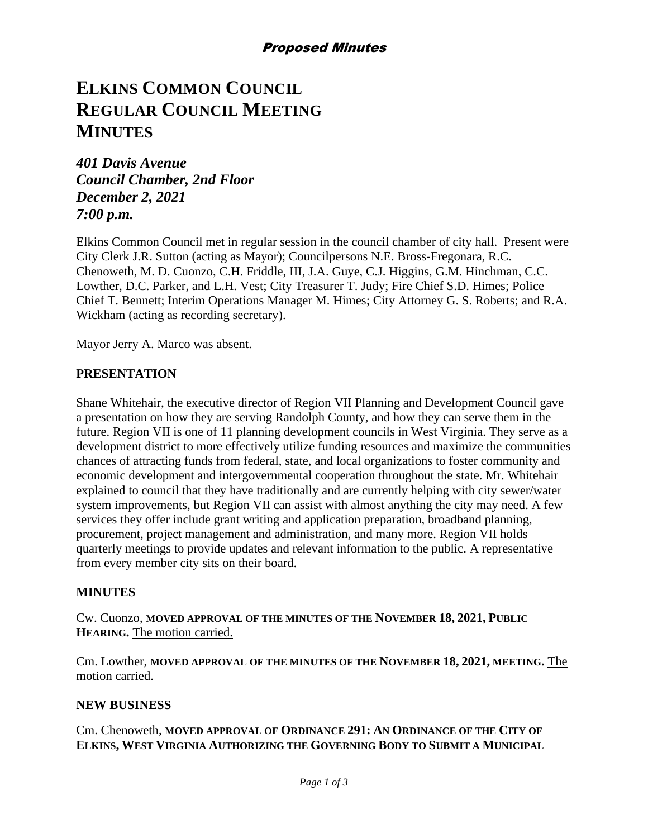# **ELKINS COMMON COUNCIL REGULAR COUNCIL MEETING MINUTES**

*401 Davis Avenue Council Chamber, 2nd Floor December 2, 2021 7:00 p.m.*

Elkins Common Council met in regular session in the council chamber of city hall. Present were City Clerk J.R. Sutton (acting as Mayor); Councilpersons N.E. Bross-Fregonara, R.C. Chenoweth, M. D. Cuonzo, C.H. Friddle, III, J.A. Guye, C.J. Higgins, G.M. Hinchman, C.C. Lowther, D.C. Parker, and L.H. Vest; City Treasurer T. Judy; Fire Chief S.D. Himes; Police Chief T. Bennett; Interim Operations Manager M. Himes; City Attorney G. S. Roberts; and R.A. Wickham (acting as recording secretary).

Mayor Jerry A. Marco was absent.

## **PRESENTATION**

Shane Whitehair, the executive director of Region VII Planning and Development Council gave a presentation on how they are serving Randolph County, and how they can serve them in the future. Region VII is one of 11 planning development councils in West Virginia. They serve as a development district to more effectively utilize funding resources and maximize the communities chances of attracting funds from federal, state, and local organizations to foster community and economic development and intergovernmental cooperation throughout the state. Mr. Whitehair explained to council that they have traditionally and are currently helping with city sewer/water system improvements, but Region VII can assist with almost anything the city may need. A few services they offer include grant writing and application preparation, broadband planning, procurement, project management and administration, and many more. Region VII holds quarterly meetings to provide updates and relevant information to the public. A representative from every member city sits on their board.

## **MINUTES**

Cw. Cuonzo, **MOVED APPROVAL OF THE MINUTES OF THE NOVEMBER 18, 2021, PUBLIC HEARING.** The motion carried.

Cm. Lowther, **MOVED APPROVAL OF THE MINUTES OF THE NOVEMBER 18, 2021, MEETING.** The motion carried.

#### **NEW BUSINESS**

Cm. Chenoweth, **MOVED APPROVAL OF ORDINANCE 291: AN ORDINANCE OF THE CITY OF ELKINS, WEST VIRGINIA AUTHORIZING THE GOVERNING BODY TO SUBMIT A MUNICIPAL**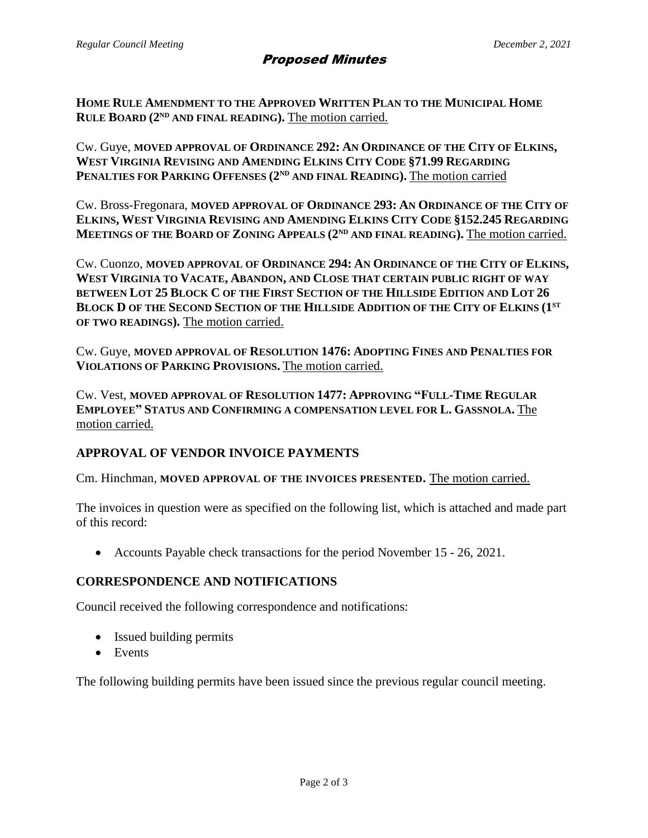**HOME RULE AMENDMENT TO THE APPROVED WRITTEN PLAN TO THE MUNICIPAL HOME RULE BOARD (2ND AND FINAL READING).** The motion carried.

Cw. Guye, **MOVED APPROVAL OF ORDINANCE 292: AN ORDINANCE OF THE CITY OF ELKINS, WEST VIRGINIA REVISING AND AMENDING ELKINS CITY CODE §71.99 REGARDING PENALTIES FOR PARKING OFFENSES (2ND AND FINAL READING).** The motion carried

Cw. Bross-Fregonara, **MOVED APPROVAL OF ORDINANCE 293: AN ORDINANCE OF THE CITY OF ELKINS, WEST VIRGINIA REVISING AND AMENDING ELKINS CITY CODE §152.245 REGARDING MEETINGS OF THE BOARD OF ZONING APPEALS (2ND AND FINAL READING).** The motion carried.

Cw. Cuonzo, **MOVED APPROVAL OF ORDINANCE 294: AN ORDINANCE OF THE CITY OF ELKINS, WEST VIRGINIA TO VACATE, ABANDON, AND CLOSE THAT CERTAIN PUBLIC RIGHT OF WAY BETWEEN LOT 25 BLOCK C OF THE FIRST SECTION OF THE HILLSIDE EDITION AND LOT 26 BLOCK D OF THE SECOND SECTION OF THE HILLSIDE ADDITION OF THE CITY OF ELKINS (1ST OF TWO READINGS).** The motion carried.

Cw. Guye, **MOVED APPROVAL OF RESOLUTION 1476: ADOPTING FINES AND PENALTIES FOR VIOLATIONS OF PARKING PROVISIONS.** The motion carried.

Cw. Vest, **MOVED APPROVAL OF RESOLUTION 1477: APPROVING "FULL-TIME REGULAR EMPLOYEE" STATUS AND CONFIRMING A COMPENSATION LEVEL FOR L. GASSNOLA.** The motion carried.

# **APPROVAL OF VENDOR INVOICE PAYMENTS**

Cm. Hinchman, **MOVED APPROVAL OF THE INVOICES PRESENTED.** The motion carried.

The invoices in question were as specified on the following list, which is attached and made part of this record:

• Accounts Payable check transactions for the period November 15 - 26, 2021.

## **CORRESPONDENCE AND NOTIFICATIONS**

Council received the following correspondence and notifications:

- Issued building permits
- Events

The following building permits have been issued since the previous regular council meeting.